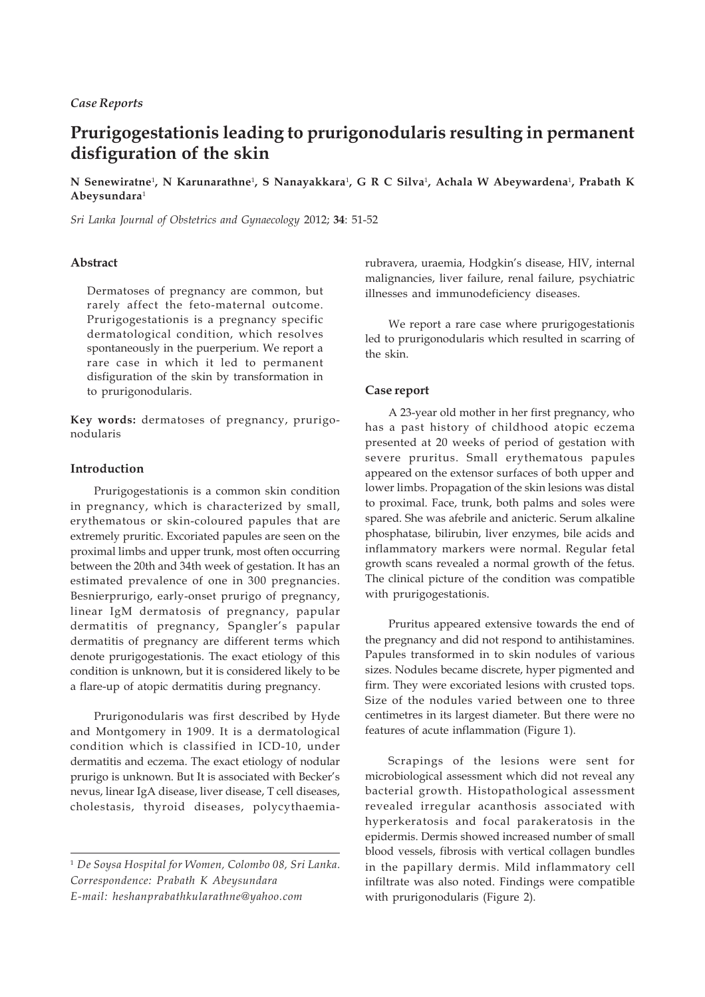# **Prurigogestationis leading to prurigonodularis resulting in permanent disfiguration of the skin**

**N Senewiratne**<sup>1</sup> **, N Karunarathne**<sup>1</sup> **, S Nanayakkara**<sup>1</sup> **, G R C Silva**<sup>1</sup> **, Achala W Abeywardena**<sup>1</sup> **, Prabath K Abeysundara**<sup>1</sup>

*Sri Lanka Journal of Obstetrics and Gynaecology* 2012; **34**: 51-52

## **Abstract**

Dermatoses of pregnancy are common, but rarely affect the feto-maternal outcome. Prurigogestationis is a pregnancy specific dermatological condition, which resolves spontaneously in the puerperium. We report a rare case in which it led to permanent disfiguration of the skin by transformation in to prurigonodularis.

**Key words:** dermatoses of pregnancy, prurigonodularis

### **Introduction**

Prurigogestationis is a common skin condition in pregnancy, which is characterized by small, erythematous or skin-coloured papules that are extremely pruritic. Excoriated papules are seen on the proximal limbs and upper trunk, most often occurring between the 20th and 34th week of gestation. It has an estimated prevalence of one in 300 pregnancies. Besnierprurigo, early-onset prurigo of pregnancy, linear IgM dermatosis of pregnancy, papular dermatitis of pregnancy, Spangler's papular dermatitis of pregnancy are different terms which denote prurigogestationis. The exact etiology of this condition is unknown, but it is considered likely to be a flare-up of atopic dermatitis during pregnancy.

Prurigonodularis was first described by Hyde and Montgomery in 1909. It is a dermatological condition which is classified in ICD-10, under dermatitis and eczema. The exact etiology of nodular prurigo is unknown. But It is associated with Becker's nevus, linear IgA disease, liver disease, T cell diseases, cholestasis, thyroid diseases, polycythaemiarubravera, uraemia, Hodgkin's disease, HIV, internal malignancies, liver failure, renal failure, psychiatric illnesses and immunodeficiency diseases.

We report a rare case where prurigogestationis led to prurigonodularis which resulted in scarring of the skin.

#### **Case report**

A 23-year old mother in her first pregnancy, who has a past history of childhood atopic eczema presented at 20 weeks of period of gestation with severe pruritus. Small erythematous papules appeared on the extensor surfaces of both upper and lower limbs. Propagation of the skin lesions was distal to proximal. Face, trunk, both palms and soles were spared. She was afebrile and anicteric. Serum alkaline phosphatase, bilirubin, liver enzymes, bile acids and inflammatory markers were normal. Regular fetal growth scans revealed a normal growth of the fetus. The clinical picture of the condition was compatible with prurigogestationis.

Pruritus appeared extensive towards the end of the pregnancy and did not respond to antihistamines. Papules transformed in to skin nodules of various sizes. Nodules became discrete, hyper pigmented and firm. They were excoriated lesions with crusted tops. Size of the nodules varied between one to three centimetres in its largest diameter. But there were no features of acute inflammation (Figure 1).

Scrapings of the lesions were sent for microbiological assessment which did not reveal any bacterial growth. Histopathological assessment revealed irregular acanthosis associated with hyperkeratosis and focal parakeratosis in the epidermis. Dermis showed increased number of small blood vessels, fibrosis with vertical collagen bundles in the papillary dermis. Mild inflammatory cell infiltrate was also noted. Findings were compatible with prurigonodularis (Figure 2).

<sup>1</sup> *De Soysa Hospital for Women, Colombo 08, Sri Lanka. Correspondence: Prabath K Abeysundara E-mail: heshanprabathkularathne@yahoo.com*